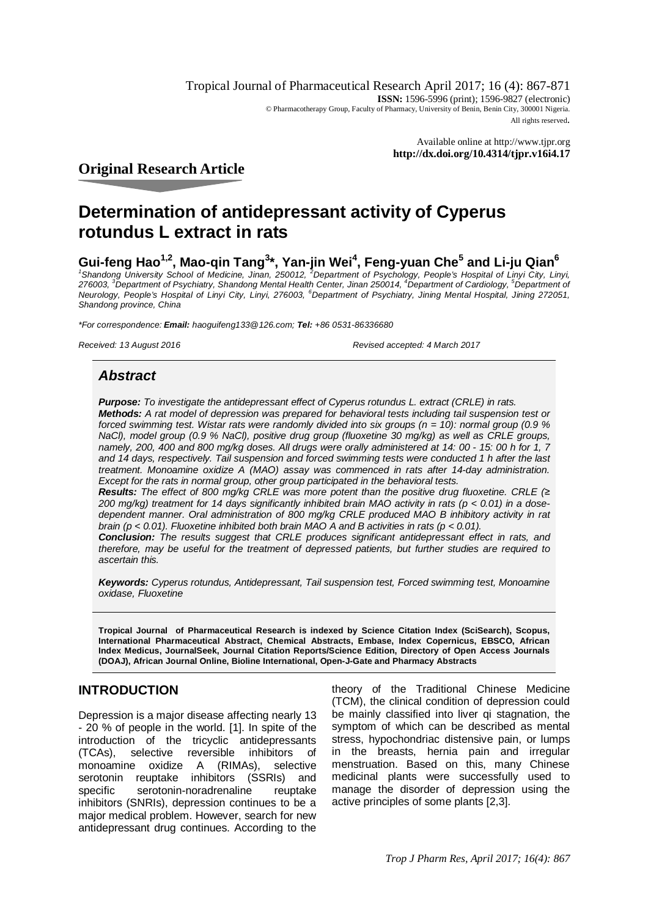Tropical Journal of Pharmaceutical Research April 2017; 16 (4): 867-871 **ISSN:** 1596-5996 (print): 1596-9827 (electronic) © Pharmacotherapy Group, Faculty of Pharmacy, University of Benin, Benin City, 300001 Nigeria. All rights reserved.

> Available online at <http://www.tjpr.org> **<http://dx.doi.org/10.4314/tjpr.v16i4.17>**

## **Original Research Article**

## **Determination of antidepressant activity of Cyperus rotundus L extract in rats**

# **Gui-feng Hao<sup>1,2</sup>, Mao-qin Tang<sup>3</sup>\*, Yan-jin Wei<sup>4</sup>, Feng-yuan Che<sup>5</sup> and Li-ju Qian<sup>6</sup><br>'Shandong University School of Medicine, Jinan, 250012, <sup>2</sup>Department of Psychology, People's Hospital of Linyi City, Linyi,**

*276003, <sup>3</sup>Department of Psychiatry, Shandong Mental Health Center, Jinan 250014, <sup>4</sup>Department of Cardiology, <sup>5</sup>Department of Neurology, People's Hospital of Linyi City, Linyi, 276003, <sup>6</sup>Department of Psychiatry, Jining Mental Hospital, Jining 272051, Shandong province, China*

*\*For correspondence: Email: [haoguifeng133@126.com;](mailto:haoguifeng133@126.com;) Tel: +86 0531-86336680*

*Received: 13 August 2016 Revised accepted: 4 March 2017*

## *Abstract*

*Purpose: To investigate the antidepressant effect of Cyperus rotundus L. extract (CRLE) in rats. Methods: A rat model of depression was prepared for behavioral tests including tail suspension test or forced swimming test. Wistar rats were randomly divided into six groups (n = 10): normal group (0.9 % NaCl), model group (0.9 % NaCl), positive drug group (fluoxetine 30 mg/kg) as well as CRLE groups, namely, 200, 400 and 800 mg/kg doses. All drugs were orally administered at 14: 00 - 15: 00 h for 1, 7 and 14 days, respectively. Tail suspension and forced swimming tests were conducted 1 h after the last treatment. Monoamine oxidize A (MAO) assay was commenced in rats after 14-day administration. Except for the rats in normal group, other group participated in the behavioral tests.*

*Results: The effect of 800 mg/kg CRLE was more potent than the positive drug fluoxetine. CRLE (≥ 200 mg/kg) treatment for 14 days significantly inhibited brain MAO activity in rats (p < 0.01) in a dosedependent manner. Oral administration of 800 mg/kg CRLE produced MAO B inhibitory activity in rat brain (p < 0.01). Fluoxetine inhibited both brain MAO A and B activities in rats (p < 0.01).* 

*Conclusion: The results suggest that CRLE produces significant antidepressant effect in rats, and therefore, may be useful for the treatment of depressed patients, but further studies are required to ascertain this.*

*Keywords: Cyperus rotundus, Antidepressant, Tail suspension test, Forced swimming test, Monoamine oxidase, Fluoxetine*

**Tropical Journal of Pharmaceutical Research is indexed by Science Citation Index (SciSearch), Scopus, International Pharmaceutical Abstract, Chemical Abstracts, Embase, Index Copernicus, EBSCO, African Index Medicus, JournalSeek, Journal Citation Reports/Science Edition, Directory of Open Access Journals (DOAJ), African Journal Online, Bioline International, Open-J-Gate and Pharmacy Abstracts**

## **INTRODUCTION**

Depression is a major disease affecting nearly 13 - 20 % of people in the world. [1]. In spite of the introduction of the tricyclic antidepressants (TCAs), selective reversible inhibitors of monoamine oxidize A (RIMAs), selective serotonin reuptake inhibitors (SSRIs) and specific serotonin-noradrenaline reuptake inhibitors (SNRIs), depression continues to be a major medical problem. However, search for new antidepressant drug continues. According to the

theory of the Traditional Chinese Medicine (TCM), the clinical condition of depression could be mainly classified into liver qi stagnation, the symptom of which can be described as mental stress, hypochondriac distensive pain, or lumps in the breasts, hernia pain and irregular menstruation. Based on this, many Chinese medicinal plants were successfully used to manage the disorder of depression using the active principles of some plants [2,3].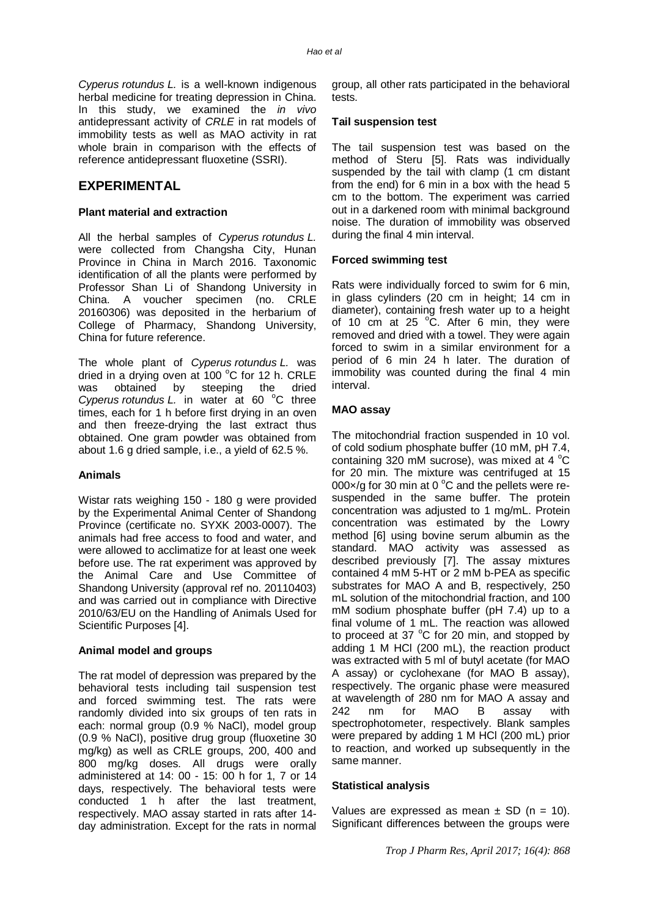*Cyperus rotundus L.* is a well-known indigenous herbal medicine for treating depression in China. In this study, we examined the *in vivo* antidepressant activity of *CRLE* in rat models of immobility tests as well as MAO activity in rat whole brain in comparison with the effects of reference antidepressant fluoxetine (SSRI).

## **EXPERIMENTAL**

#### **Plant material and extraction**

All the herbal samples of *Cyperus rotundus L.* were collected from Changsha City, Hunan Province in China in March 2016. Taxonomic identification of all the plants were performed by Professor Shan Li of Shandong University in China. A voucher specimen (no. CRLE 20160306) was deposited in the herbarium of College of Pharmacy, Shandong University, China for future reference.

The whole plant of *Cyperus rotundus L.* was dried in a drying oven at 100 $\degree$ C for 12 h. CRLE was obtained by steeping the dried *Cyperus rotundus L.* in water at 60 °C three times, each for 1 h before first drying in an oven and then freeze-drying the last extract thus obtained. One gram powder was obtained from about 1.6 g dried sample, i.e., a yield of 62.5 %.

#### **Animals**

Wistar rats weighing 150 - 180 g were provided by the Experimental Animal Center of Shandong Province (certificate no. SYXK 2003-0007). The animals had free access to food and water, and were allowed to acclimatize for at least one week before use. The rat experiment was approved by the Animal Care and Use Committee of Shandong University (approval ref no. 20110403) and was carried out in compliance with Directive 2010/63/EU on the Handling of Animals Used for Scientific Purposes [4].

#### **Animal model and groups**

The rat model of depression was prepared by the behavioral tests including tail suspension test and forced swimming test. The rats were randomly divided into six groups of ten rats in each: normal group (0.9 % NaCl), model group (0.9 % NaCl), positive drug group (fluoxetine 30 mg/kg) as well as CRLE groups, 200, 400 and 800 mg/kg doses. All drugs were orally administered at 14: 00 - 15: 00 h for 1, 7 or 14 days, respectively. The behavioral tests were conducted 1 h after the last treatment, respectively. MAO assay started in rats after 14 day administration. Except for the rats in normal group, all other rats participated in the behavioral tests.

#### **Tail suspension test**

The tail suspension test was based on the method of Steru [5]. Rats was individually suspended by the tail with clamp (1 cm distant from the end) for 6 min in a box with the head 5 cm to the bottom. The experiment was carried out in a darkened room with minimal background noise. The duration of immobility was observed during the final 4 min interval.

#### **Forced swimming test**

Rats were individually forced to swim for 6 min, in glass cylinders (20 cm in height; 14 cm in diameter), containing fresh water up to a height of 10 cm at 25  $\degree$ C. After 6 min, they were removed and dried with a towel. They were again forced to swim in a similar environment for a period of 6 min 24 h later. The duration of immobility was counted during the final 4 min interval.

#### **MAO assay**

The mitochondrial fraction suspended in 10 vol. of cold sodium phosphate buffer (10 mM, pH 7.4, containing 320 mM sucrose), was mixed at 4  $^{\circ}$ C for 20 min. The mixture was centrifuged at 15 000 $\times$ /g for 30 min at 0 °C and the pellets were resuspended in the same buffer. The protein concentration was adjusted to 1 mg/mL. Protein concentration was estimated by the Lowry method [6] using bovine serum albumin as the standard. MAO activity was assessed as described previously [7]. The assay mixtures contained 4 mM 5-HT or 2 mM b-PEA as specific substrates for MAO A and B, respectively, 250 mL solution of the mitochondrial fraction, and 100 mM sodium phosphate buffer (pH 7.4) up to a final volume of 1 mL. The reaction was allowed to proceed at 37  $^{\circ}$ C for 20 min, and stopped by adding 1 M HCl (200 mL), the reaction product was extracted with 5 ml of butyl acetate (for MAO A assay) or cyclohexane (for MAO B assay), respectively. The organic phase were measured at wavelength of 280 nm for MAO A assay and 242 nm for MAO B assay with spectrophotometer, respectively. Blank samples were prepared by adding 1 M HCl (200 mL) prior to reaction, and worked up subsequently in the same manner.

#### **Statistical analysis**

Values are expressed as mean  $\pm$  SD (n = 10). Significant differences between the groups were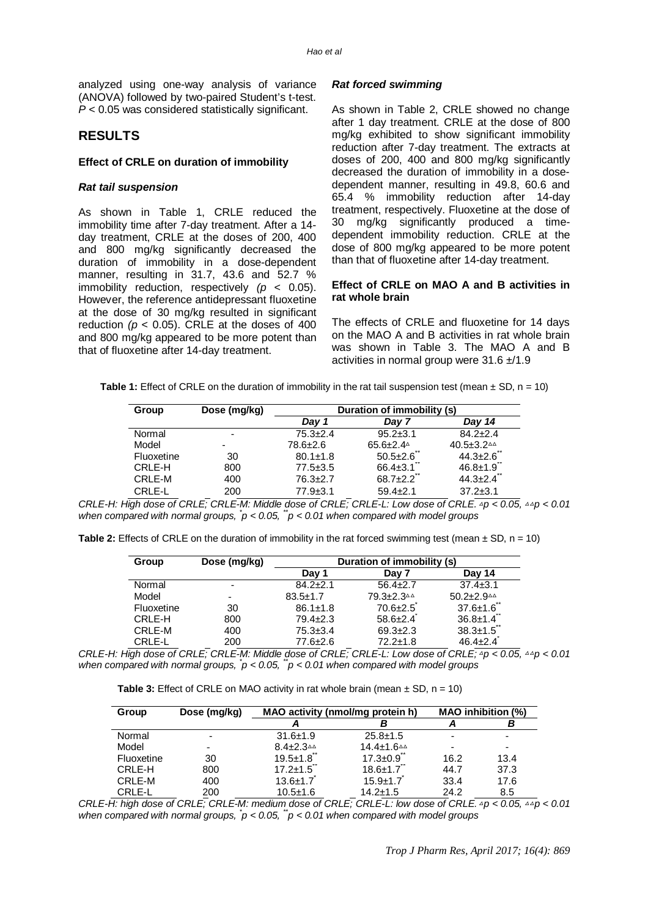analyzed using one-way analysis of variance (ANOVA) followed by two-paired Student's t-test. *P* < 0.05 was considered statistically significant.

#### **RESULTS**

#### **Effect of CRLE on duration of immobility**

#### *Rat tail suspension*

As shown in Table 1, CRLE reduced the immobility time after 7-day treatment. After a 14 day treatment, CRLE at the doses of 200, 400 and 800 mg/kg significantly decreased the duration of immobility in a dose-dependent manner, resulting in 31.7, 43.6 and 52.7 % immobility reduction, respectively  $(p < 0.05)$ . However, the reference antidepressant fluoxetine at the dose of 30 mg/kg resulted in significant reduction  $(p < 0.05)$ . CRLE at the doses of 400 and 800 mg/kg appeared to be more potent than that of fluoxetine after 14-day treatment.

#### *Rat forced swimming*

As shown in Table 2, CRLE showed no change after 1 day treatment. CRLE at the dose of 800 mg/kg exhibited to show significant immobility reduction after 7-day treatment. The extracts at doses of 200, 400 and 800 mg/kg significantly decreased the duration of immobility in a dosedependent manner, resulting in 49.8, 60.6 and 65.4 % immobility reduction after 14-day treatment, respectively. Fluoxetine at the dose of 30 mg/kg significantly produced a timedependent immobility reduction. CRLE at the dose of 800 mg/kg appeared to be more potent than that of fluoxetine after 14-day treatment.

#### **Effect of CRLE on MAO A and B activities in rat whole brain**

The effects of CRLE and fluoxetine for 14 days on the MAO A and B activities in rat whole brain was shown in Table 3. The MAO A and B activities in normal group were  $31.6 \pm 1.9$ 

| Group      | Dose (mg/kg)             | Duration of immobility (s) |                |                                                  |  |
|------------|--------------------------|----------------------------|----------------|--------------------------------------------------|--|
|            |                          | Day 1                      | Dav 7          | Dav 14                                           |  |
| Normal     | $\overline{\phantom{0}}$ | $75.3 + 2.4$               | $95.2 + 3.1$   | $84.2 + 2.4$                                     |  |
| Model      | -                        | 78.6±2.6                   | $65.6 \pm 2.4$ | $40.5 \pm 3.2$ <sup><math>\triangle</math></sup> |  |
| Fluoxetine | 30                       | $80.1 \pm 1.8$             | $50.5 \pm 2.6$ | $44.3 \pm 2.6$                                   |  |
| CRLE-H     | 800                      | $77.5 \pm 3.5$             | $66.4 \pm 3.1$ | $46.8 \pm 1.9$                                   |  |
| CRLE-M     | 400                      | $76.3 + 2.7$               | $68.7 \pm 2.2$ | $44.3 \pm 2.4$                                   |  |
| CRLE-L     | 200                      | $77.9 \pm 3.1$             | $59.4 + 2.1$   | $37.2 \pm 3.1$                                   |  |

*CRLE-H: High dose of CRLE; CRLE-M: Middle dose of CRLE; CRLE-L: Low dose of CRLE. △p < 0.05, △△p < 0.01 when compared with normal groups, \* p < 0.05, \*\*p < 0.01 when compared with model groups*

| Group      | Dose (mg/kg) | Duration of immobility (s) |                |                            |
|------------|--------------|----------------------------|----------------|----------------------------|
|            |              | Day 1                      | Day 7          | Day 14                     |
| Normal     |              | $84.2 + 2.1$               | $56.4 \pm 2.7$ | $37.4 \pm 3.1$             |
| Model      |              | $83.5 \pm 1.7$             | 79.3±2.3△△     | $50.2 + 2.9$ <sup>44</sup> |
| Fluoxetine | 30           | $86.1 \pm 1.8$             | $70.6 \pm 2.5$ | $37.6 \pm 1.6$             |
| CRLE-H     | 800          | $79.4 \pm 2.3$             | $58.6 \pm 2.4$ | $36.8 \pm 1.4$             |
| CRLE-M     | 400          | $75.3 \pm 3.4$             | $69.3 + 2.3$   | $38.3 \pm 1.5$             |
| CRLE-L     | 200          | 77.6±2.6                   | $72.2 \pm 1.8$ | $46.4 \pm 2.4$             |

*CRLE-H: High dose of CRLE; CRLE-M: Middle dose of CRLE; CRLE-L: Low dose of CRLE; △p < 0.05, △△p < 0.01 when compared with normal groups, \* p < 0.05, \*\*p < 0.01 when compared with model groups*

|  | <b>Table 3:</b> Effect of CRLE on MAO activity in rat whole brain (mean $\pm$ SD, n = 10) |  |
|--|-------------------------------------------------------------------------------------------|--|
|  |                                                                                           |  |

| Group         | Dose (mg/kg)             | MAO activity (nmol/mq protein h) |                              | <b>MAO</b> inhibition (%) |      |
|---------------|--------------------------|----------------------------------|------------------------------|---------------------------|------|
|               |                          |                                  | B                            |                           | в    |
| Normal        |                          | $31.6 \pm 1.9$                   | $25.8 \pm 1.5$               | $\overline{\phantom{0}}$  | -    |
| Model         | $\overline{\phantom{0}}$ | $8.4 \pm 2.3$ <sup>44</sup>      | $14.4 \pm 1.6$ <sup>44</sup> | $\overline{\phantom{0}}$  |      |
| Fluoxetine    | 30                       | $19.5 \pm 1.8$ **                | $17.3 \pm 0.9$ <sup>**</sup> | 16.2                      | 13.4 |
| CRLE-H        | 800                      | $17.2 \pm 1.5$                   | $18.6 \pm 1.7$               | 44.7                      | 37.3 |
| CRLE-M        | 400                      | $13.6 \pm 1.7$                   | $15.9 + 1.7$                 | 33.4                      | 17.6 |
| <b>CRLE-L</b> | 200                      | $10.5 \pm 1.6$                   | $14.2 \pm 1.5$               | 24.2                      | 8.5  |

*CRLE-H: high dose of CRLE; CRLE-M: medium dose of CRLE; CRLE-L: low dose of CRLE. △p < 0.05, △△p < 0.01 when compared with normal groups, \* p < 0.05, \*\*p < 0.01 when compared with model groups*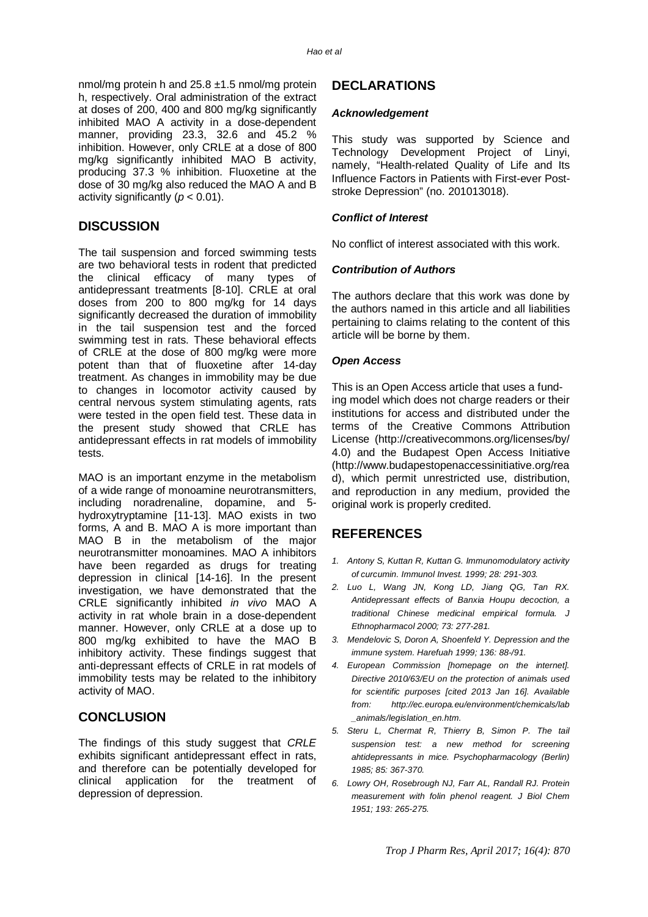nmol/mg protein h and 25.8 ±1.5 nmol/mg protein h, respectively. Oral administration of the extract at doses of 200, 400 and 800 mg/kg significantly inhibited MAO A activity in a dose-dependent manner, providing 23.3, 32.6 and 45.2 % inhibition. However, only CRLE at a dose of 800 mg/kg significantly inhibited MAO B activity, producing 37.3 % inhibition. Fluoxetine at the dose of 30 mg/kg also reduced the MAO A and B activity significantly (*p* < 0.01).

## **DISCUSSION**

The tail suspension and forced swimming tests are two behavioral tests in rodent that predicted the clinical efficacy of many types of antidepressant treatments [8-10]. CRLE at oral doses from 200 to 800 mg/kg for 14 days significantly decreased the duration of immobility in the tail suspension test and the forced swimming test in rats. These behavioral effects of CRLE at the dose of 800 mg/kg were more potent than that of fluoxetine after 14-day treatment. As changes in immobility may be due to changes in locomotor activity caused by central nervous system stimulating agents, rats were tested in the open field test. These data in the present study showed that CRLE has antidepressant effects in rat models of immobility tests.

MAO is an important enzyme in the metabolism of a wide range of monoamine neurotransmitters, including noradrenaline, dopamine, and 5 hydroxytryptamine [11-13]. MAO exists in two forms, A and B. MAO A is more important than MAO B in the metabolism of the major neurotransmitter monoamines. MAO A inhibitors have been regarded as drugs for treating depression in clinical [14-16]. In the present investigation, we have demonstrated that the CRLE significantly inhibited *in vivo* MAO A activity in rat whole brain in a dose-dependent manner. However, only CRLE at a dose up to 800 mg/kg exhibited to have the MAO B inhibitory activity. These findings suggest that anti-depressant effects of CRLE in rat models of immobility tests may be related to the inhibitory activity of MAO.

## **CONCLUSION**

The findings of this study suggest that *CRLE* exhibits significant antidepressant effect in rats, and therefore can be potentially developed for clinical application for the treatment of depression of depression.

## **DECLARATIONS**

#### *Acknowledgement*

This study was supported by Science and Technology Development Project of Linyi, namely, "Health-related Quality of Life and Its Influence Factors in Patients with First-ever Poststroke Depression" (no. 201013018).

#### *Conflict of Interest*

No conflict of interest associated with this work.

#### *Contribution of Authors*

The authors declare that this work was done by the authors named in this article and all liabilities pertaining to claims relating to the content of this article will be borne by them.

#### *Open Access*

This is an Open Access article that uses a funding model which does not charge readers or their institutions for access and distributed under the terms of the Creative Commons Attribution License (<http://creativecommons.org/licenses/by/> 4.0) and the Budapest Open Access Initiative [\(http://www.budapestopenaccessinitiative.org/rea](http://www.budapestopenaccessinitiative.org/rea) d), which permit unrestricted use, distribution, and reproduction in any medium, provided the original work is properly credited.

## **REFERENCES**

- *1. Antony S, Kuttan R, Kuttan G. Immunomodulatory activity of curcumin. Immunol Invest. 1999; 28: 291-303.*
- *2. Luo L, Wang JN, Kong LD, Jiang QG, Tan RX. Antidepressant effects of Banxia Houpu decoction, a traditional Chinese medicinal empirical formula. J Ethnopharmacol 2000; 73: 277-281.*
- *3. Mendelovic S, Doron A, Shoenfeld Y. Depression and the immune system. Harefuah 1999; 136: 88-/91.*
- *4. European Commission [homepage on the internet]. Directive 2010/63/EU on the protection of animals used for scientific purposes [cited 2013 Jan 16]. Available from: <http://ec.europa.eu/environment/chemicals/lab> \_animals/legislation\_en.htm.*
- *5. Steru L, Chermat R, Thierry B, Simon P. The tail suspension test: a new method for screening ahtidepressants in mice. Psychopharmacology (Berlin) 1985; 85: 367-370.*
- *6. Lowry OH, Rosebrough NJ, Farr AL, Randall RJ. Protein measurement with folin phenol reagent. J Biol Chem 1951; 193: 265-275.*